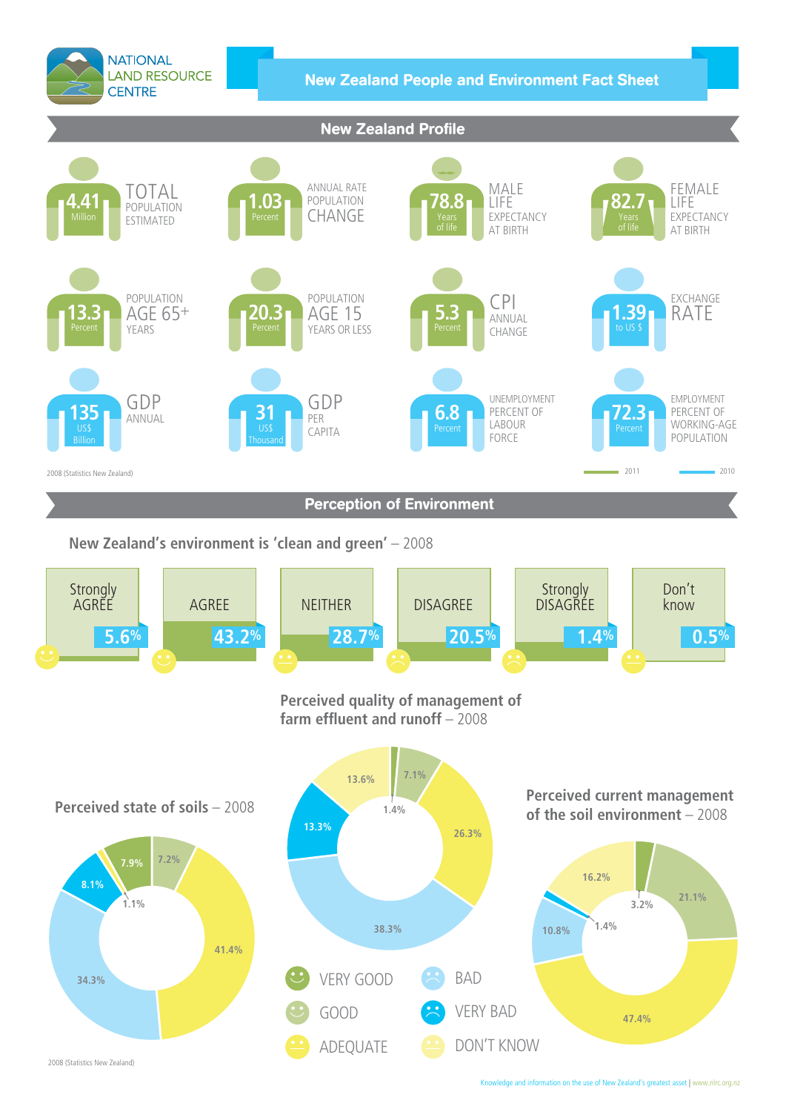

2008 (Statistics New Zealand)

knowledge and information on the use of New Zealand's greatest asset **|** www.nlrc.org.nz